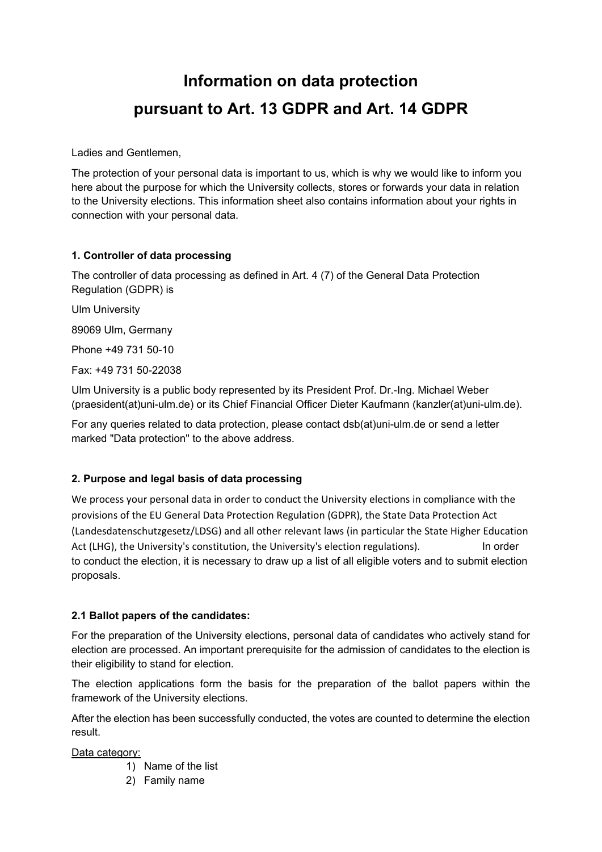# **Information on data protection pursuant to Art. 13 GDPR and Art. 14 GDPR**

Ladies and Gentlemen,

The protection of your personal data is important to us, which is why we would like to inform you here about the purpose for which the University collects, stores or forwards your data in relation to the University elections. This information sheet also contains information about your rights in connection with your personal data.

## **1. Controller of data processing**

The controller of data processing as defined in Art. 4 (7) of the General Data Protection Regulation (GDPR) is

Ulm University

89069 Ulm, Germany

Phone +49 731 50-10

Fax: +49 731 50-22038

Ulm University is a public body represented by its President Prof. Dr.-Ing. Michael Weber (praesident(at)uni-ulm.de) or its Chief Financial Officer Dieter Kaufmann (kanzler(at)uni-ulm.de).

For any queries related to data protection, please contact dsb(at)uni-ulm.de or send a letter marked "Data protection" to the above address.

## **2. Purpose and legal basis of data processing**

We process your personal data in order to conduct the University elections in compliance with the provisions of the EU General Data Protection Regulation (GDPR), the State Data Protection Act (Landesdatenschutzgesetz/LDSG) and all other relevant laws (in particular the State Higher Education Act (LHG), the University's constitution, the University's election regulations). In order to conduct the election, it is necessary to draw up a list of all eligible voters and to submit election proposals.

## **2.1 Ballot papers of the candidates:**

For the preparation of the University elections, personal data of candidates who actively stand for election are processed. An important prerequisite for the admission of candidates to the election is their eligibility to stand for election.

The election applications form the basis for the preparation of the ballot papers within the framework of the University elections.

After the election has been successfully conducted, the votes are counted to determine the election result.

Data category:

- 1) Name of the list
- 2) Family name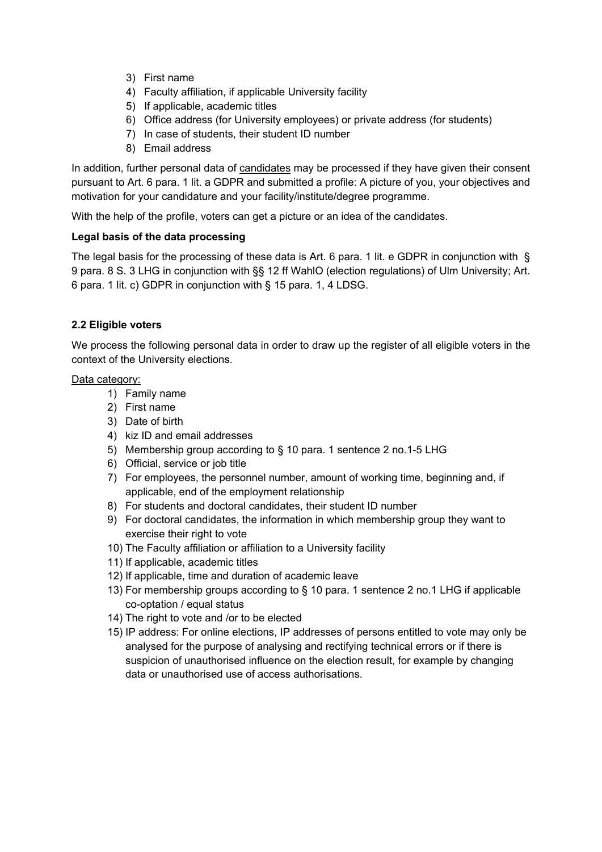- 3) First name
- 4) Faculty affiliation, if applicable University facility
- 5) If applicable, academic titles
- 6) Office address (for University employees) or private address (for students)
- 7) In case of students, their student ID number
- 8) Email address

In addition, further personal data of candidates may be processed if they have given their consent pursuant to Art. 6 para. 1 lit. a GDPR and submitted a profile: A picture of you, your objectives and motivation for your candidature and your facility/institute/degree programme.

With the help of the profile, voters can get a picture or an idea of the candidates.

#### **Legal basis of the data processing**

The legal basis for the processing of these data is Art. 6 para. 1 lit. e GDPR in conjunction with § 9 para. 8 S. 3 LHG in conjunction with §§ 12 ff WahlO (election regulations) of Ulm University; Art. 6 para. 1 lit. c) GDPR in conjunction with § 15 para. 1, 4 LDSG.

#### **2.2 Eligible voters**

We process the following personal data in order to draw up the register of all eligible voters in the context of the University elections.

Data category:

- 1) Family name
- 2) First name
- 3) Date of birth
- 4) kiz ID and email addresses
- 5) Membership group according to § 10 para. 1 sentence 2 no.1-5 LHG
- 6) Official, service or job title
- 7) For employees, the personnel number, amount of working time, beginning and, if applicable, end of the employment relationship
- 8) For students and doctoral candidates, their student ID number
- 9) For doctoral candidates, the information in which membership group they want to exercise their right to vote
- 10) The Faculty affiliation or affiliation to a University facility
- 11) If applicable, academic titles
- 12) If applicable, time and duration of academic leave
- 13) For membership groups according to § 10 para. 1 sentence 2 no.1 LHG if applicable co-optation / equal status
- 14) The right to vote and /or to be elected
- 15) IP address: For online elections, IP addresses of persons entitled to vote may only be analysed for the purpose of analysing and rectifying technical errors or if there is suspicion of unauthorised influence on the election result, for example by changing data or unauthorised use of access authorisations.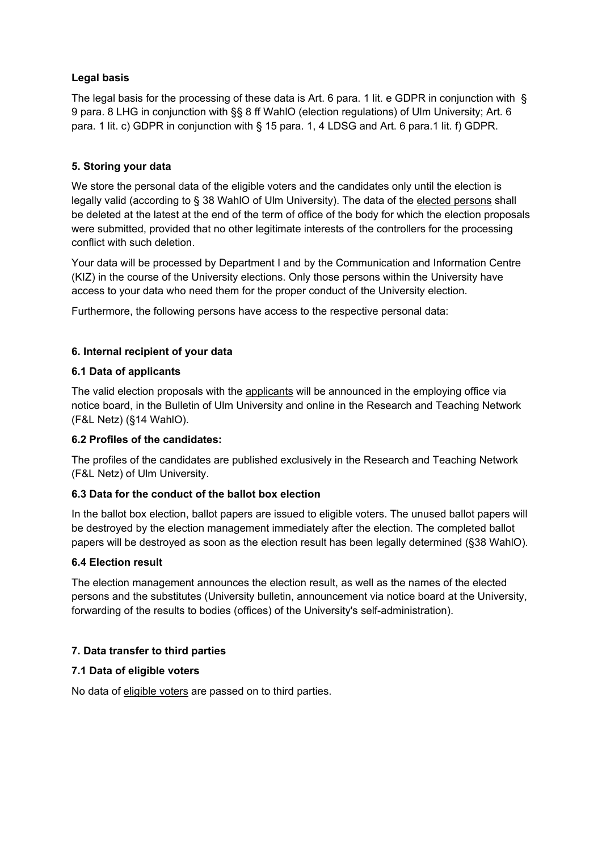## **Legal basis**

The legal basis for the processing of these data is Art. 6 para. 1 lit. e GDPR in conjunction with § 9 para. 8 LHG in conjunction with §§ 8 ff WahlO (election regulations) of Ulm University; Art. 6 para. 1 lit. c) GDPR in conjunction with § 15 para. 1, 4 LDSG and Art. 6 para.1 lit. f) GDPR.

# **5. Storing your data**

We store the personal data of the eligible voters and the candidates only until the election is legally valid (according to § 38 WahlO of Ulm University). The data of the elected persons shall be deleted at the latest at the end of the term of office of the body for which the election proposals were submitted, provided that no other legitimate interests of the controllers for the processing conflict with such deletion.

Your data will be processed by Department I and by the Communication and Information Centre (KIZ) in the course of the University elections. Only those persons within the University have access to your data who need them for the proper conduct of the University election.

Furthermore, the following persons have access to the respective personal data:

# **6. Internal recipient of your data**

## **6.1 Data of applicants**

The valid election proposals with the applicants will be announced in the employing office via notice board, in the Bulletin of Ulm University and online in the Research and Teaching Network (F&L Netz) (§14 WahlO).

## **6.2 Profiles of the candidates:**

The profiles of the candidates are published exclusively in the Research and Teaching Network (F&L Netz) of Ulm University.

## **6.3 Data for the conduct of the ballot box election**

In the ballot box election, ballot papers are issued to eligible voters. The unused ballot papers will be destroyed by the election management immediately after the election. The completed ballot papers will be destroyed as soon as the election result has been legally determined (§38 WahlO).

## **6.4 Election result**

The election management announces the election result, as well as the names of the elected persons and the substitutes (University bulletin, announcement via notice board at the University, forwarding of the results to bodies (offices) of the University's self-administration).

# **7. Data transfer to third parties**

## **7.1 Data of eligible voters**

No data of eligible voters are passed on to third parties.